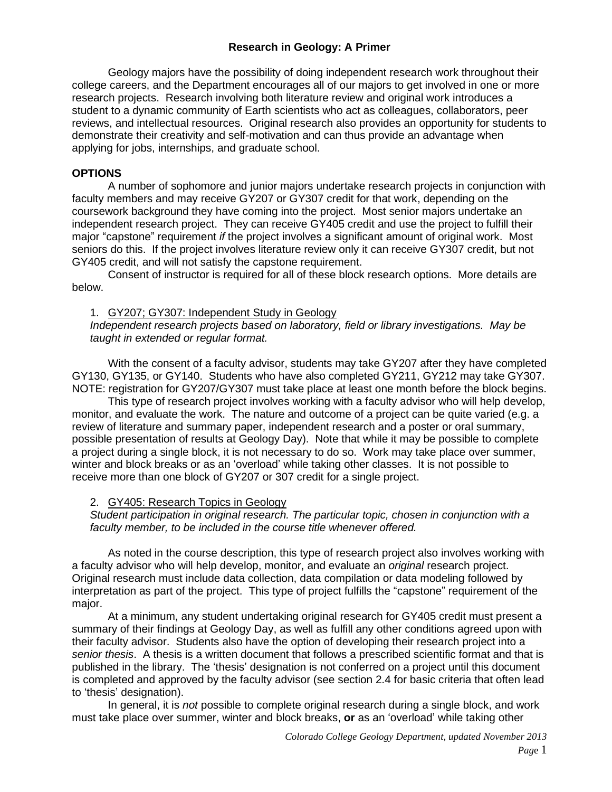## **Research in Geology: A Primer**

Geology majors have the possibility of doing independent research work throughout their college careers, and the Department encourages all of our majors to get involved in one or more research projects. Research involving both literature review and original work introduces a student to a dynamic community of Earth scientists who act as colleagues, collaborators, peer reviews, and intellectual resources. Original research also provides an opportunity for students to demonstrate their creativity and self-motivation and can thus provide an advantage when applying for jobs, internships, and graduate school.

### **OPTIONS**

A number of sophomore and junior majors undertake research projects in conjunction with faculty members and may receive GY207 or GY307 credit for that work, depending on the coursework background they have coming into the project. Most senior majors undertake an independent research project. They can receive GY405 credit and use the project to fulfill their major "capstone" requirement *if* the project involves a significant amount of original work. Most seniors do this. If the project involves literature review only it can receive GY307 credit, but not GY405 credit, and will not satisfy the capstone requirement.

Consent of instructor is required for all of these block research options. More details are below.

#### 1. GY207; GY307: Independent Study in Geology

*Independent research projects based on laboratory, field or library investigations. May be taught in extended or regular format.*

With the consent of a faculty advisor, students may take GY207 after they have completed GY130, GY135, or GY140. Students who have also completed GY211, GY212 may take GY307. NOTE: registration for GY207/GY307 must take place at least one month before the block begins.

This type of research project involves working with a faculty advisor who will help develop, monitor, and evaluate the work. The nature and outcome of a project can be quite varied (e.g. a review of literature and summary paper, independent research and a poster or oral summary, possible presentation of results at Geology Day). Note that while it may be possible to complete a project during a single block, it is not necessary to do so. Work may take place over summer, winter and block breaks or as an 'overload' while taking other classes. It is not possible to receive more than one block of GY207 or 307 credit for a single project.

### 2. GY405: Research Topics in Geology

*Student participation in original research. The particular topic, chosen in conjunction with a faculty member, to be included in the course title whenever offered.*

As noted in the course description, this type of research project also involves working with a faculty advisor who will help develop, monitor, and evaluate an *original* research project. Original research must include data collection, data compilation or data modeling followed by interpretation as part of the project. This type of project fulfills the "capstone" requirement of the major.

At a minimum, any student undertaking original research for GY405 credit must present a summary of their findings at Geology Day, as well as fulfill any other conditions agreed upon with their faculty advisor. Students also have the option of developing their research project into a *senior thesis*. A thesis is a written document that follows a prescribed scientific format and that is published in the library. The 'thesis' designation is not conferred on a project until this document is completed and approved by the faculty advisor (see section 2.4 for basic criteria that often lead to 'thesis' designation).

In general, it is *not* possible to complete original research during a single block, and work must take place over summer, winter and block breaks, **or** as an 'overload' while taking other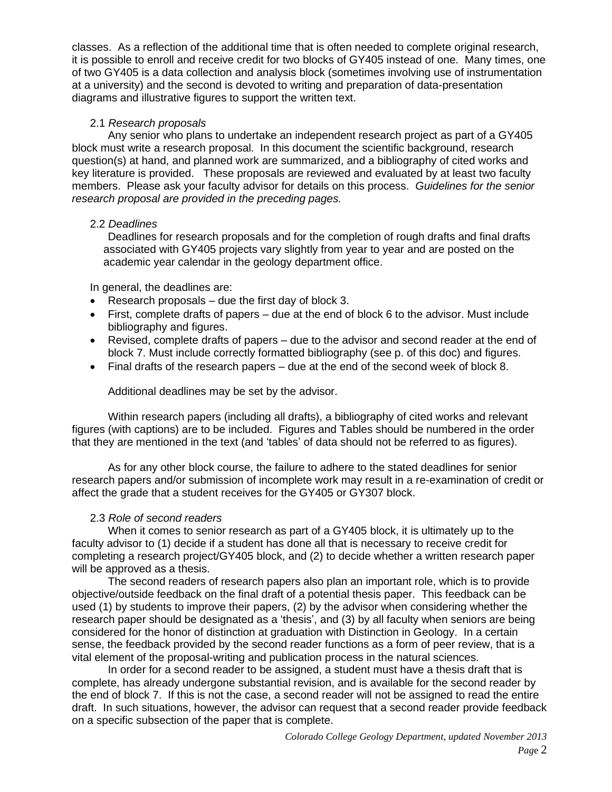classes. As a reflection of the additional time that is often needed to complete original research, it is possible to enroll and receive credit for two blocks of GY405 instead of one. Many times, one of two GY405 is a data collection and analysis block (sometimes involving use of instrumentation at a university) and the second is devoted to writing and preparation of data-presentation diagrams and illustrative figures to support the written text.

### 2.1 *Research proposals*

Any senior who plans to undertake an independent research project as part of a GY405 block must write a research proposal. In this document the scientific background, research question(s) at hand, and planned work are summarized, and a bibliography of cited works and key literature is provided. These proposals are reviewed and evaluated by at least two faculty members. Please ask your faculty advisor for details on this process. *Guidelines for the senior research proposal are provided in the preceding pages.*

#### 2.2 *Deadlines*

Deadlines for research proposals and for the completion of rough drafts and final drafts associated with GY405 projects vary slightly from year to year and are posted on the academic year calendar in the geology department office.

In general, the deadlines are:

- Research proposals due the first day of block 3.
- First, complete drafts of papers due at the end of block 6 to the advisor. Must include bibliography and figures.
- Revised, complete drafts of papers due to the advisor and second reader at the end of block 7. Must include correctly formatted bibliography (see p. of this doc) and figures.
- Final drafts of the research papers due at the end of the second week of block 8.

Additional deadlines may be set by the advisor.

Within research papers (including all drafts), a bibliography of cited works and relevant figures (with captions) are to be included. Figures and Tables should be numbered in the order that they are mentioned in the text (and 'tables' of data should not be referred to as figures).

As for any other block course, the failure to adhere to the stated deadlines for senior research papers and/or submission of incomplete work may result in a re-examination of credit or affect the grade that a student receives for the GY405 or GY307 block.

### 2.3 *Role of second readers*

When it comes to senior research as part of a GY405 block, it is ultimately up to the faculty advisor to (1) decide if a student has done all that is necessary to receive credit for completing a research project/GY405 block, and (2) to decide whether a written research paper will be approved as a thesis.

The second readers of research papers also plan an important role, which is to provide objective/outside feedback on the final draft of a potential thesis paper. This feedback can be used (1) by students to improve their papers, (2) by the advisor when considering whether the research paper should be designated as a 'thesis', and (3) by all faculty when seniors are being considered for the honor of distinction at graduation with Distinction in Geology. In a certain sense, the feedback provided by the second reader functions as a form of peer review, that is a vital element of the proposal-writing and publication process in the natural sciences.

In order for a second reader to be assigned, a student must have a thesis draft that is complete, has already undergone substantial revision, and is available for the second reader by the end of block 7. If this is not the case, a second reader will not be assigned to read the entire draft. In such situations, however, the advisor can request that a second reader provide feedback on a specific subsection of the paper that is complete.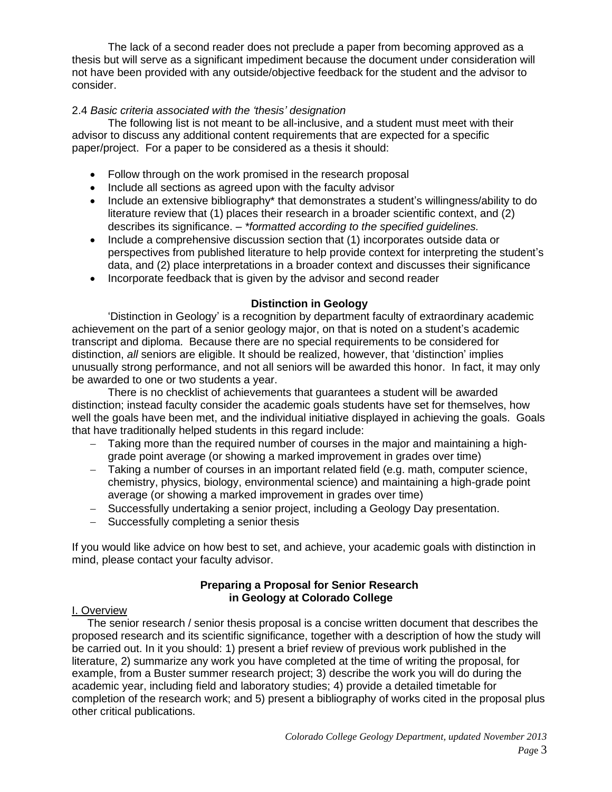The lack of a second reader does not preclude a paper from becoming approved as a thesis but will serve as a significant impediment because the document under consideration will not have been provided with any outside/objective feedback for the student and the advisor to consider.

## 2.4 *Basic criteria associated with the 'thesis' designation*

The following list is not meant to be all-inclusive, and a student must meet with their advisor to discuss any additional content requirements that are expected for a specific paper/project. For a paper to be considered as a thesis it should:

- Follow through on the work promised in the research proposal
- Include all sections as agreed upon with the faculty advisor
- Include an extensive bibliography<sup>\*</sup> that demonstrates a student's willingness/ability to do literature review that (1) places their research in a broader scientific context, and (2) describes its significance. – *\*formatted according to the specified guidelines.*
- Include a comprehensive discussion section that (1) incorporates outside data or perspectives from published literature to help provide context for interpreting the student's data, and (2) place interpretations in a broader context and discusses their significance
- Incorporate feedback that is given by the advisor and second reader

# **Distinction in Geology**

'Distinction in Geology' is a recognition by department faculty of extraordinary academic achievement on the part of a senior geology major, on that is noted on a student's academic transcript and diploma. Because there are no special requirements to be considered for distinction, *all* seniors are eligible. It should be realized, however, that 'distinction' implies unusually strong performance, and not all seniors will be awarded this honor. In fact, it may only be awarded to one or two students a year.

There is no checklist of achievements that guarantees a student will be awarded distinction; instead faculty consider the academic goals students have set for themselves, how well the goals have been met, and the individual initiative displayed in achieving the goals. Goals that have traditionally helped students in this regard include:

- − Taking more than the required number of courses in the major and maintaining a highgrade point average (or showing a marked improvement in grades over time)
- − Taking a number of courses in an important related field (e.g. math, computer science, chemistry, physics, biology, environmental science) and maintaining a high-grade point average (or showing a marked improvement in grades over time)
- − Successfully undertaking a senior project, including a Geology Day presentation.
- − Successfully completing a senior thesis

If you would like advice on how best to set, and achieve, your academic goals with distinction in mind, please contact your faculty advisor.

### **Preparing a Proposal for Senior Research in Geology at Colorado College**

### I. Overview

 The senior research / senior thesis proposal is a concise written document that describes the proposed research and its scientific significance, together with a description of how the study will be carried out. In it you should: 1) present a brief review of previous work published in the literature, 2) summarize any work you have completed at the time of writing the proposal, for example, from a Buster summer research project; 3) describe the work you will do during the academic year, including field and laboratory studies; 4) provide a detailed timetable for completion of the research work; and 5) present a bibliography of works cited in the proposal plus other critical publications.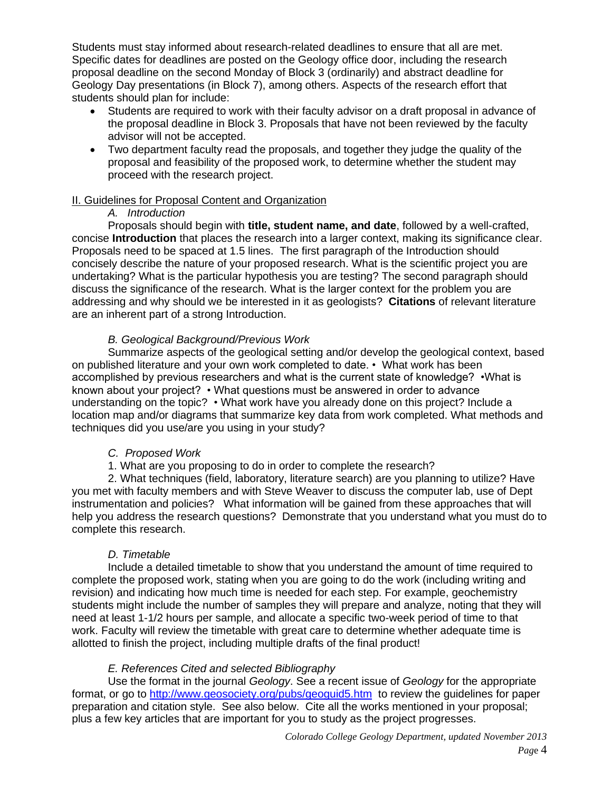Students must stay informed about research-related deadlines to ensure that all are met. Specific dates for deadlines are posted on the Geology office door, including the research proposal deadline on the second Monday of Block 3 (ordinarily) and abstract deadline for Geology Day presentations (in Block 7), among others. Aspects of the research effort that students should plan for include:

- Students are required to work with their faculty advisor on a draft proposal in advance of the proposal deadline in Block 3. Proposals that have not been reviewed by the faculty advisor will not be accepted.
- Two department faculty read the proposals, and together they judge the quality of the proposal and feasibility of the proposed work, to determine whether the student may proceed with the research project.

## II. Guidelines for Proposal Content and Organization

## *A. Introduction*

Proposals should begin with **title, student name, and date**, followed by a well-crafted, concise **Introduction** that places the research into a larger context, making its significance clear. Proposals need to be spaced at 1.5 lines. The first paragraph of the Introduction should concisely describe the nature of your proposed research. What is the scientific project you are undertaking? What is the particular hypothesis you are testing? The second paragraph should discuss the significance of the research. What is the larger context for the problem you are addressing and why should we be interested in it as geologists? **Citations** of relevant literature are an inherent part of a strong Introduction.

# *B. Geological Background/Previous Work*

Summarize aspects of the geological setting and/or develop the geological context, based on published literature and your own work completed to date. • What work has been accomplished by previous researchers and what is the current state of knowledge? •What is known about your project? • What questions must be answered in order to advance understanding on the topic? • What work have you already done on this project? Include a location map and/or diagrams that summarize key data from work completed. What methods and techniques did you use/are you using in your study?

# *C. Proposed Work*

1. What are you proposing to do in order to complete the research?

2. What techniques (field, laboratory, literature search) are you planning to utilize? Have you met with faculty members and with Steve Weaver to discuss the computer lab, use of Dept instrumentation and policies? What information will be gained from these approaches that will help you address the research questions? Demonstrate that you understand what you must do to complete this research.

### *D. Timetable*

Include a detailed timetable to show that you understand the amount of time required to complete the proposed work, stating when you are going to do the work (including writing and revision) and indicating how much time is needed for each step. For example, geochemistry students might include the number of samples they will prepare and analyze, noting that they will need at least 1-1/2 hours per sample, and allocate a specific two-week period of time to that work. Faculty will review the timetable with great care to determine whether adequate time is allotted to finish the project, including multiple drafts of the final product!

# *E. References Cited and selected Bibliography*

Use the format in the journal *Geology*. See a recent issue of *Geology* for the appropriate format, or go to http://www.geosociety.org/pubs/geoguid5.htm to review the guidelines for paper preparation and citation style. See also below. Cite all the works mentioned in your proposal; plus a few key articles that are important for you to study as the project progresses.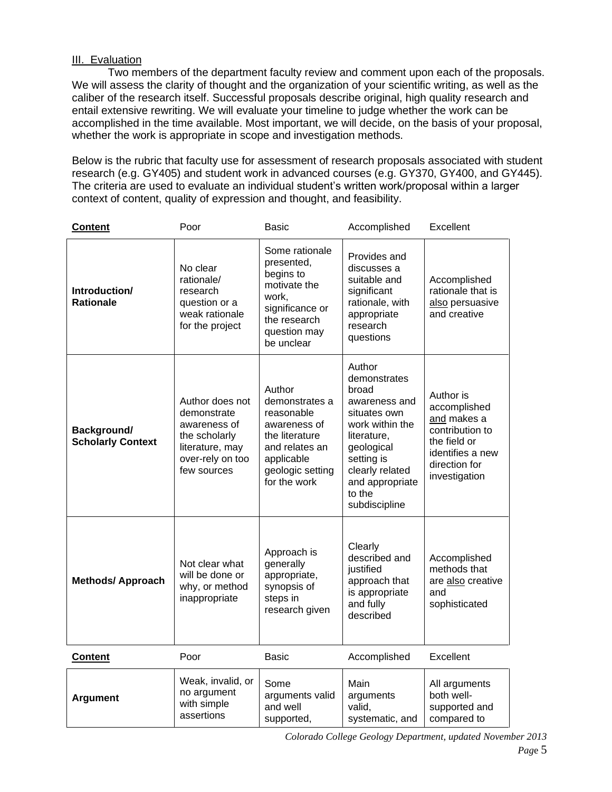## III. Evaluation

Two members of the department faculty review and comment upon each of the proposals. We will assess the clarity of thought and the organization of your scientific writing, as well as the caliber of the research itself. Successful proposals describe original, high quality research and entail extensive rewriting. We will evaluate your timeline to judge whether the work can be accomplished in the time available. Most important, we will decide, on the basis of your proposal, whether the work is appropriate in scope and investigation methods.

Below is the rubric that faculty use for assessment of research proposals associated with student research (e.g. GY405) and student work in advanced courses (e.g. GY370, GY400, and GY445). The criteria are used to evaluate an individual student's written work/proposal within a larger context of content, quality of expression and thought, and feasibility.

| <b>Content</b>                          | Poor                                                                                                                  | <b>Basic</b>                                                                                                                                 | Accomplished                                                                                                                                                                                    | Excellent                                                                                                                         |
|-----------------------------------------|-----------------------------------------------------------------------------------------------------------------------|----------------------------------------------------------------------------------------------------------------------------------------------|-------------------------------------------------------------------------------------------------------------------------------------------------------------------------------------------------|-----------------------------------------------------------------------------------------------------------------------------------|
| Introduction/<br><b>Rationale</b>       | No clear<br>rationale/<br>research<br>question or a<br>weak rationale<br>for the project                              | Some rationale<br>presented,<br>begins to<br>motivate the<br>work,<br>significance or<br>the research<br>question may<br>be unclear          | Provides and<br>discusses a<br>suitable and<br>significant<br>rationale, with<br>appropriate<br>research<br>questions                                                                           | Accomplished<br>rationale that is<br>also persuasive<br>and creative                                                              |
| Background/<br><b>Scholarly Context</b> | Author does not<br>demonstrate<br>awareness of<br>the scholarly<br>literature, may<br>over-rely on too<br>few sources | Author<br>demonstrates a<br>reasonable<br>awareness of<br>the literature<br>and relates an<br>applicable<br>geologic setting<br>for the work | Author<br>demonstrates<br>broad<br>awareness and<br>situates own<br>work within the<br>literature,<br>geological<br>setting is<br>clearly related<br>and appropriate<br>to the<br>subdiscipline | Author is<br>accomplished<br>and makes a<br>contribution to<br>the field or<br>identifies a new<br>direction for<br>investigation |
| <b>Methods/ Approach</b>                | Not clear what<br>will be done or<br>why, or method<br>inappropriate                                                  | Approach is<br>generally<br>appropriate,<br>synopsis of<br>steps in<br>research given                                                        | Clearly<br>described and<br>justified<br>approach that<br>is appropriate<br>and fully<br>described                                                                                              | Accomplished<br>methods that<br>are also creative<br>and<br>sophisticated                                                         |
| <b>Content</b>                          | Poor                                                                                                                  | <b>Basic</b>                                                                                                                                 | Accomplished                                                                                                                                                                                    | Excellent                                                                                                                         |
| <b>Argument</b>                         | Weak, invalid, or<br>no argument<br>with simple<br>assertions                                                         | Some<br>arguments valid<br>and well<br>supported,                                                                                            | Main<br>arguments<br>valid,<br>systematic, and                                                                                                                                                  | All arguments<br>both well-<br>supported and<br>compared to                                                                       |

*Colorado College Geology Department, updated November 2013*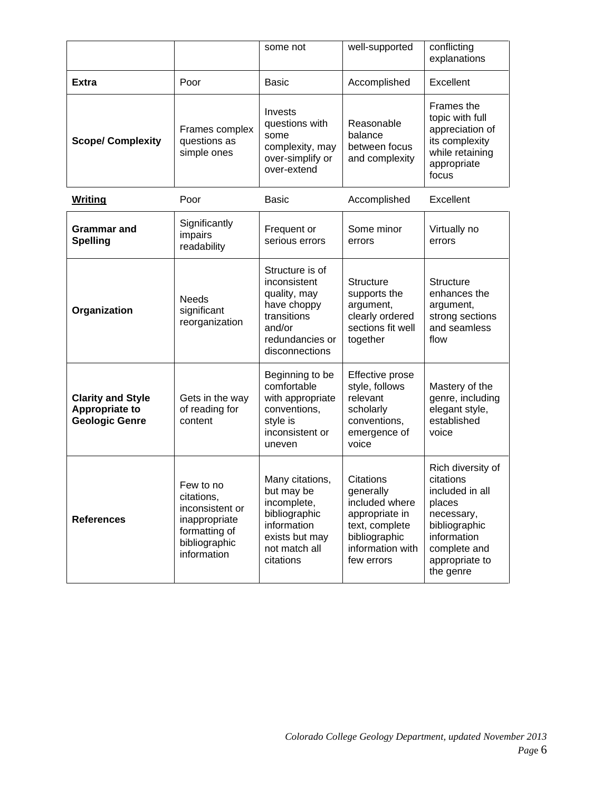|                                                                     |                                                                                                              | some not                                                                                                                     | well-supported                                                                                                                  | conflicting<br>explanations                                                                                                                              |
|---------------------------------------------------------------------|--------------------------------------------------------------------------------------------------------------|------------------------------------------------------------------------------------------------------------------------------|---------------------------------------------------------------------------------------------------------------------------------|----------------------------------------------------------------------------------------------------------------------------------------------------------|
| <b>Extra</b>                                                        | Poor                                                                                                         | <b>Basic</b>                                                                                                                 | Accomplished                                                                                                                    | Excellent                                                                                                                                                |
| <b>Scope/ Complexity</b>                                            | Frames complex<br>questions as<br>simple ones                                                                | Invests<br>questions with<br>some<br>complexity, may<br>over-simplify or<br>over-extend                                      | Reasonable<br>balance<br>between focus<br>and complexity                                                                        | <b>Frames the</b><br>topic with full<br>appreciation of<br>its complexity<br>while retaining<br>appropriate<br>focus                                     |
| <b>Writing</b>                                                      | Poor                                                                                                         | <b>Basic</b>                                                                                                                 | Accomplished                                                                                                                    | Excellent                                                                                                                                                |
| <b>Grammar</b> and<br><b>Spelling</b>                               | Significantly<br>impairs<br>readability                                                                      | Frequent or<br>serious errors                                                                                                | Some minor<br>errors                                                                                                            | Virtually no<br>errors                                                                                                                                   |
| Organization                                                        | <b>Needs</b><br>significant<br>reorganization                                                                | Structure is of<br>inconsistent<br>quality, may<br>have choppy<br>transitions<br>and/or<br>redundancies or<br>disconnections | <b>Structure</b><br>supports the<br>argument,<br>clearly ordered<br>sections fit well<br>together                               | <b>Structure</b><br>enhances the<br>argument,<br>strong sections<br>and seamless<br>flow                                                                 |
| <b>Clarity and Style</b><br>Appropriate to<br><b>Geologic Genre</b> | Gets in the way<br>of reading for<br>content                                                                 | Beginning to be<br>comfortable<br>with appropriate<br>conventions,<br>style is<br>inconsistent or<br>uneven                  | Effective prose<br>style, follows<br>relevant<br>scholarly<br>conventions,<br>emergence of<br>voice                             | Mastery of the<br>genre, including<br>elegant style,<br>established<br>voice                                                                             |
| <b>References</b>                                                   | Few to no<br>citations,<br>inconsistent or<br>inappropriate<br>formatting of<br>bibliographic<br>information | Many citations,<br>but may be<br>incomplete,<br>bibliographic<br>information<br>exists but may<br>not match all<br>citations | Citations<br>generally<br>included where<br>appropriate in<br>text, complete<br>bibliographic<br>information with<br>few errors | Rich diversity of<br>citations<br>included in all<br>places<br>necessary,<br>bibliographic<br>information<br>complete and<br>appropriate to<br>the genre |